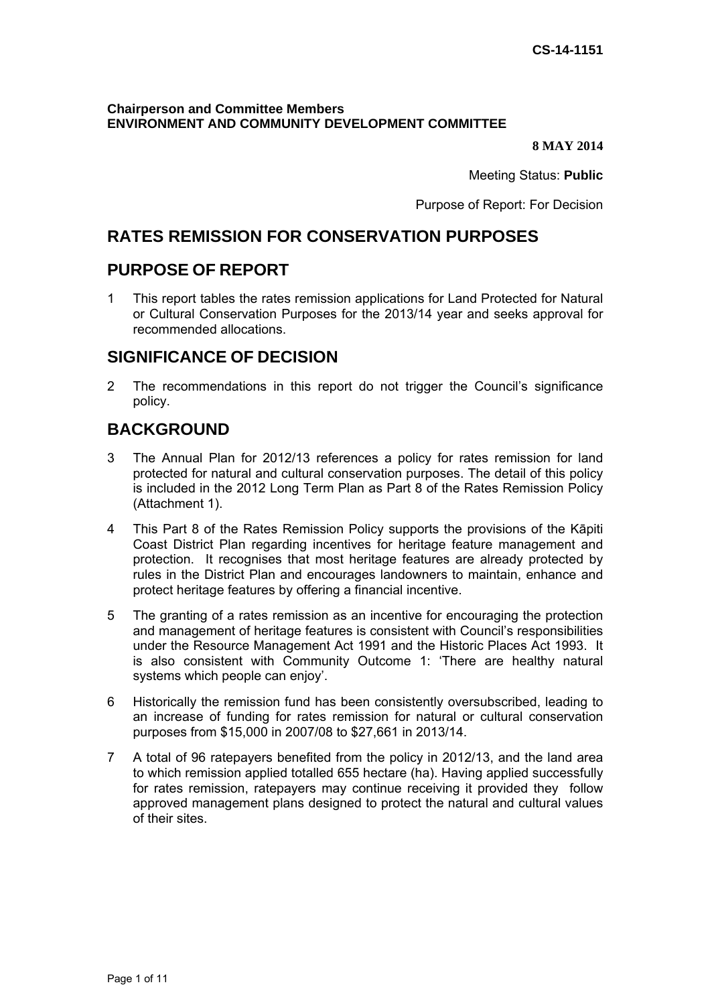#### **Chairperson and Committee Members ENVIRONMENT AND COMMUNITY DEVELOPMENT COMMITTEE**

#### **8 MAY 2014**

Meeting Status: **Public**

Purpose of Report: For Decision

## **RATES REMISSION FOR CONSERVATION PURPOSES**

### **PURPOSE OF REPORT**

1 This report tables the rates remission applications for Land Protected for Natural or Cultural Conservation Purposes for the 2013/14 year and seeks approval for recommended allocations.

## **SIGNIFICANCE OF DECISION**

2 The recommendations in this report do not trigger the Council's significance policy.

## **BACKGROUND**

- 3 The Annual Plan for 2012/13 references a policy for rates remission for land protected for natural and cultural conservation purposes. The detail of this policy is included in the 2012 Long Term Plan as Part 8 of the Rates Remission Policy (Attachment 1).
- 4 This Part 8 of the Rates Remission Policy supports the provisions of the Kāpiti Coast District Plan regarding incentives for heritage feature management and protection. It recognises that most heritage features are already protected by rules in the District Plan and encourages landowners to maintain, enhance and protect heritage features by offering a financial incentive.
- 5 The granting of a rates remission as an incentive for encouraging the protection and management of heritage features is consistent with Council's responsibilities under the Resource Management Act 1991 and the Historic Places Act 1993. It is also consistent with Community Outcome 1: 'There are healthy natural systems which people can enjoy'.
- 6 Historically the remission fund has been consistently oversubscribed, leading to an increase of funding for rates remission for natural or cultural conservation purposes from \$15,000 in 2007/08 to \$27,661 in 2013/14.
- 7 A total of 96 ratepayers benefited from the policy in 2012/13, and the land area to which remission applied totalled 655 hectare (ha). Having applied successfully for rates remission, ratepayers may continue receiving it provided they follow approved management plans designed to protect the natural and cultural values of their sites.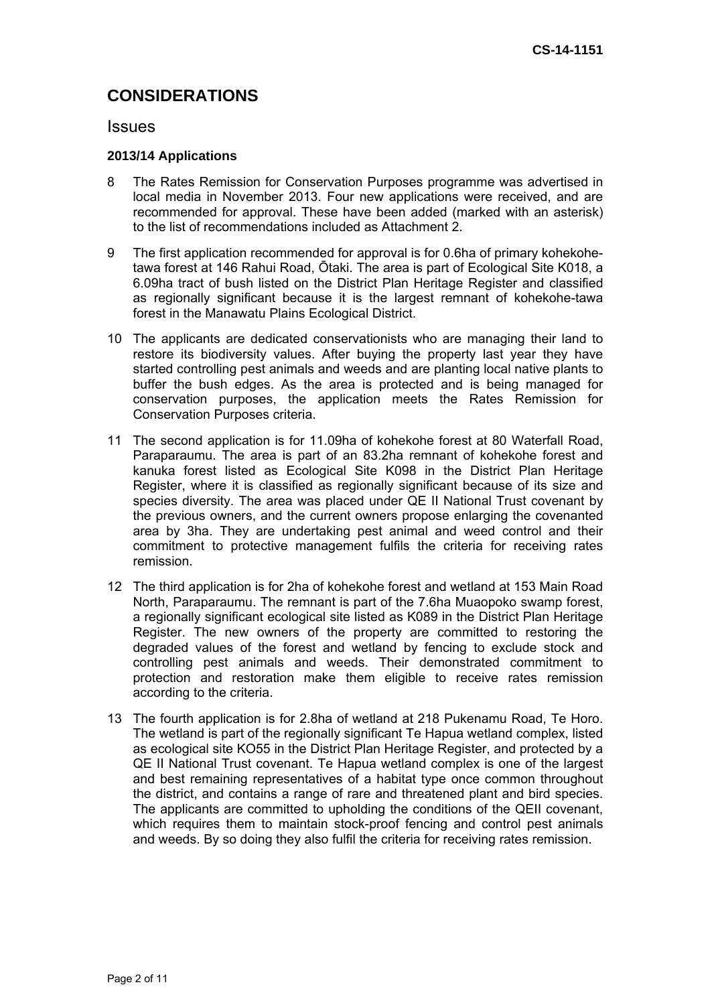# **CONSIDERATIONS**

### **Issues**

### **2013/14 Applications**

- 8 The Rates Remission for Conservation Purposes programme was advertised in local media in November 2013. Four new applications were received, and are recommended for approval. These have been added (marked with an asterisk) to the list of recommendations included as Attachment 2.
- 9 The first application recommended for approval is for 0.6ha of primary kohekohetawa forest at 146 Rahui Road, Ōtaki. The area is part of Ecological Site K018, a 6.09ha tract of bush listed on the District Plan Heritage Register and classified as regionally significant because it is the largest remnant of kohekohe-tawa forest in the Manawatu Plains Ecological District.
- 10 The applicants are dedicated conservationists who are managing their land to restore its biodiversity values. After buying the property last year they have started controlling pest animals and weeds and are planting local native plants to buffer the bush edges. As the area is protected and is being managed for conservation purposes, the application meets the Rates Remission for Conservation Purposes criteria.
- 11 The second application is for 11.09ha of kohekohe forest at 80 Waterfall Road, Paraparaumu. The area is part of an 83.2ha remnant of kohekohe forest and kanuka forest listed as Ecological Site K098 in the District Plan Heritage Register, where it is classified as regionally significant because of its size and species diversity. The area was placed under QE II National Trust covenant by the previous owners, and the current owners propose enlarging the covenanted area by 3ha. They are undertaking pest animal and weed control and their commitment to protective management fulfils the criteria for receiving rates remission.
- 12 The third application is for 2ha of kohekohe forest and wetland at 153 Main Road North, Paraparaumu. The remnant is part of the 7.6ha Muaopoko swamp forest, a regionally significant ecological site listed as K089 in the District Plan Heritage Register. The new owners of the property are committed to restoring the degraded values of the forest and wetland by fencing to exclude stock and controlling pest animals and weeds. Their demonstrated commitment to protection and restoration make them eligible to receive rates remission according to the criteria.
- 13 The fourth application is for 2.8ha of wetland at 218 Pukenamu Road, Te Horo. The wetland is part of the regionally significant Te Hapua wetland complex, listed as ecological site KO55 in the District Plan Heritage Register, and protected by a QE II National Trust covenant. Te Hapua wetland complex is one of the largest and best remaining representatives of a habitat type once common throughout the district, and contains a range of rare and threatened plant and bird species. The applicants are committed to upholding the conditions of the QEII covenant, which requires them to maintain stock-proof fencing and control pest animals and weeds. By so doing they also fulfil the criteria for receiving rates remission.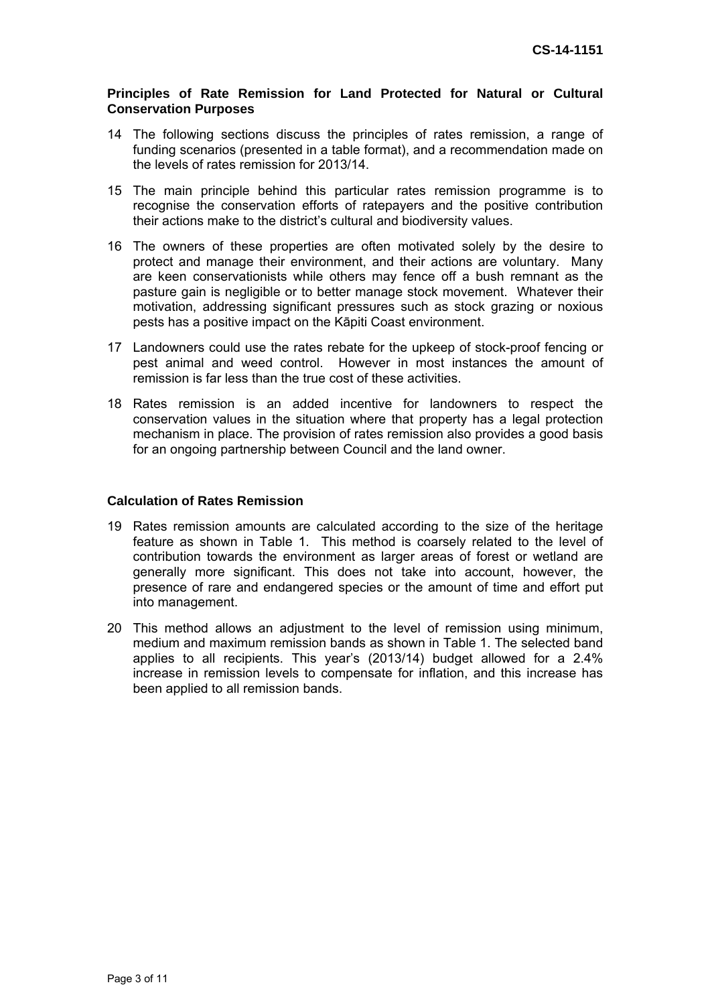#### **Principles of Rate Remission for Land Protected for Natural or Cultural Conservation Purposes**

- 14 The following sections discuss the principles of rates remission, a range of funding scenarios (presented in a table format), and a recommendation made on the levels of rates remission for 2013/14.
- 15 The main principle behind this particular rates remission programme is to recognise the conservation efforts of ratepayers and the positive contribution their actions make to the district's cultural and biodiversity values.
- 16 The owners of these properties are often motivated solely by the desire to protect and manage their environment, and their actions are voluntary. Many are keen conservationists while others may fence off a bush remnant as the pasture gain is negligible or to better manage stock movement. Whatever their motivation, addressing significant pressures such as stock grazing or noxious pests has a positive impact on the Kāpiti Coast environment.
- 17 Landowners could use the rates rebate for the upkeep of stock-proof fencing or pest animal and weed control. However in most instances the amount of remission is far less than the true cost of these activities.
- 18 Rates remission is an added incentive for landowners to respect the conservation values in the situation where that property has a legal protection mechanism in place. The provision of rates remission also provides a good basis for an ongoing partnership between Council and the land owner.

#### **Calculation of Rates Remission**

- 19 Rates remission amounts are calculated according to the size of the heritage feature as shown in Table 1. This method is coarsely related to the level of contribution towards the environment as larger areas of forest or wetland are generally more significant. This does not take into account, however, the presence of rare and endangered species or the amount of time and effort put into management.
- 20 This method allows an adjustment to the level of remission using minimum, medium and maximum remission bands as shown in Table 1. The selected band applies to all recipients. This year's (2013/14) budget allowed for a 2.4% increase in remission levels to compensate for inflation, and this increase has been applied to all remission bands.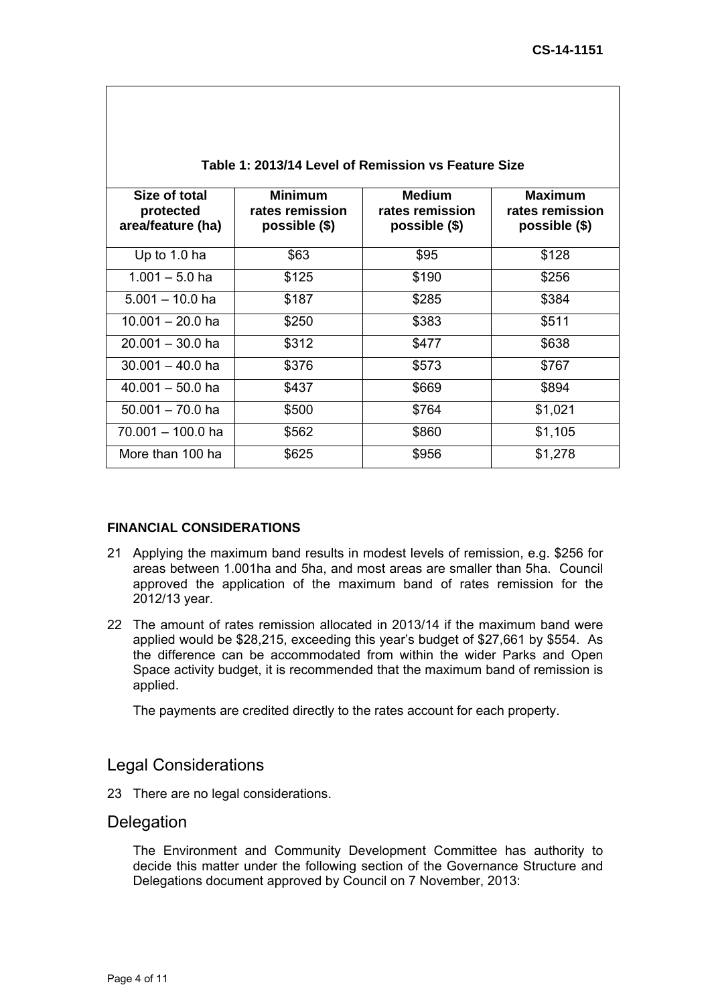| Table 1: 2013/14 Level of Remission vs Feature Size |                                                    |                                                   |                                                      |  |  |
|-----------------------------------------------------|----------------------------------------------------|---------------------------------------------------|------------------------------------------------------|--|--|
| Size of total<br>protected<br>area/feature (ha)     | <b>Minimum</b><br>rates remission<br>possible (\$) | <b>Medium</b><br>rates remission<br>possible (\$) | <b>Maximum</b><br>rates remission<br>$possible$ (\$) |  |  |
| Up to 1.0 ha                                        | \$63                                               | \$95                                              | \$128                                                |  |  |
| $1.001 - 5.0$ ha                                    | \$125                                              | \$190                                             | \$256                                                |  |  |
| $5.001 - 10.0$ ha                                   | \$187                                              | \$285                                             | \$384                                                |  |  |
| $10.001 - 20.0$ ha                                  | \$250                                              | \$383                                             | \$511                                                |  |  |
| $20.001 - 30.0$ ha                                  | \$312                                              | \$477                                             | \$638                                                |  |  |
| $30.001 - 40.0$ ha                                  | \$376                                              | \$573                                             | \$767                                                |  |  |
| $40.001 - 50.0$ ha                                  | \$437                                              | \$669                                             | \$894                                                |  |  |
| $50.001 - 70.0$ ha                                  | \$500                                              | \$764                                             | \$1,021                                              |  |  |
| 70.001 - 100.0 ha                                   | \$562                                              | \$860                                             | \$1,105                                              |  |  |
| More than 100 ha                                    | \$625                                              | \$956                                             | \$1,278                                              |  |  |

### **FINANCIAL CONSIDERATIONS**

- 21 Applying the maximum band results in modest levels of remission, e.g. \$256 for areas between 1.001ha and 5ha, and most areas are smaller than 5ha. Council approved the application of the maximum band of rates remission for the 2012/13 year.
- 22 The amount of rates remission allocated in 2013/14 if the maximum band were applied would be \$28,215, exceeding this year's budget of \$27,661 by \$554. As the difference can be accommodated from within the wider Parks and Open Space activity budget, it is recommended that the maximum band of remission is applied.

The payments are credited directly to the rates account for each property.

## Legal Considerations

23 There are no legal considerations.

### **Delegation**

The Environment and Community Development Committee has authority to decide this matter under the following section of the Governance Structure and Delegations document approved by Council on 7 November, 2013: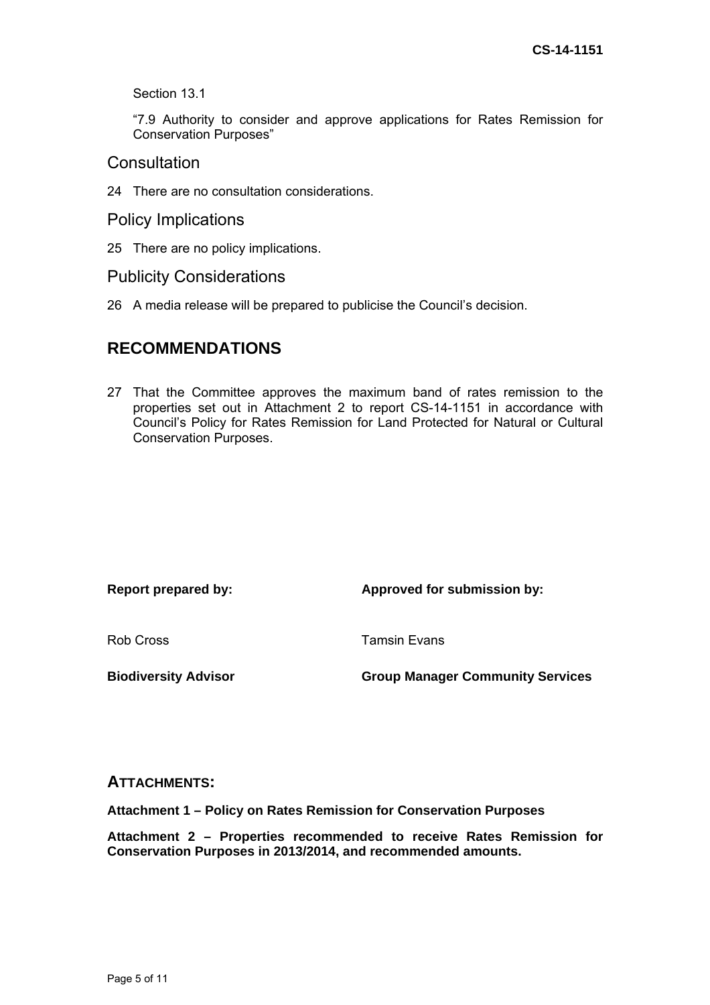Section 13.1

"7.9 Authority to consider and approve applications for Rates Remission for Conservation Purposes"

### **Consultation**

24 There are no consultation considerations.

Policy Implications

25 There are no policy implications.

Publicity Considerations

26 A media release will be prepared to publicise the Council's decision.

## **RECOMMENDATIONS**

27 That the Committee approves the maximum band of rates remission to the properties set out in Attachment 2 to report CS-14-1151 in accordance with Council's Policy for Rates Remission for Land Protected for Natural or Cultural Conservation Purposes.

| Report prepared by:         | Approved for submission by:             |
|-----------------------------|-----------------------------------------|
| Rob Cross                   | <b>Tamsin Evans</b>                     |
| <b>Biodiversity Advisor</b> | <b>Group Manager Community Services</b> |

### **ATTACHMENTS:**

**Attachment 1 – Policy on Rates Remission for Conservation Purposes** 

**Attachment 2 – Properties recommended to receive Rates Remission for Conservation Purposes in 2013/2014, and recommended amounts.**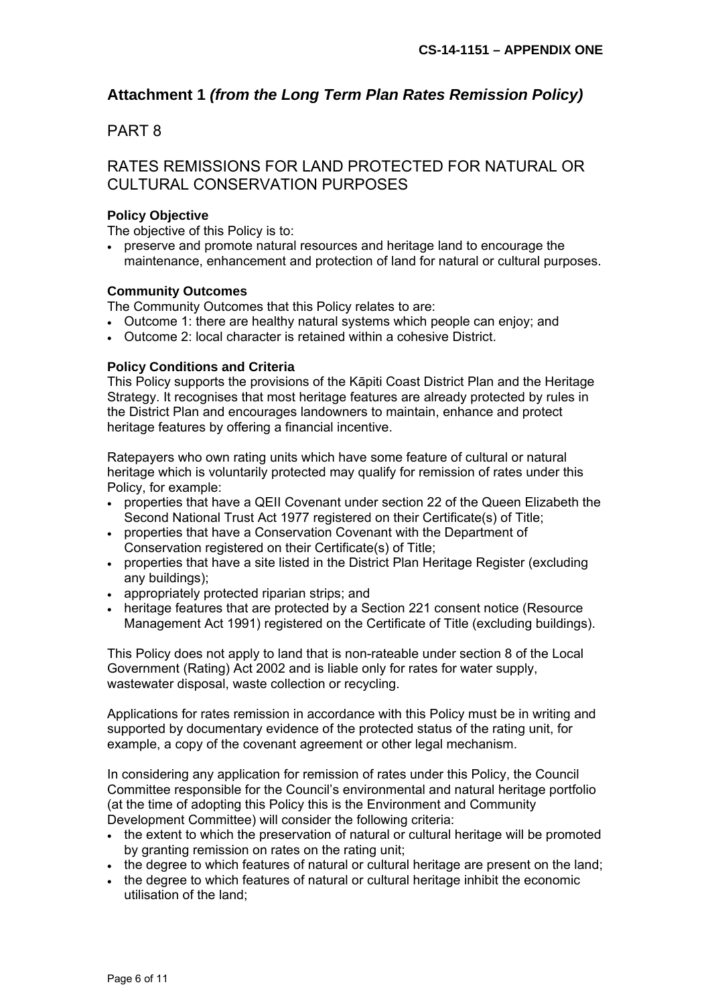## **Attachment 1** *(from the Long Term Plan Rates Remission Policy)*

### PART 8

## RATES REMISSIONS FOR LAND PROTECTED FOR NATURAL OR CULTURAL CONSERVATION PURPOSES

#### **Policy Objective**

The objective of this Policy is to:

 preserve and promote natural resources and heritage land to encourage the maintenance, enhancement and protection of land for natural or cultural purposes.

#### **Community Outcomes**

The Community Outcomes that this Policy relates to are:

- Outcome 1: there are healthy natural systems which people can enjoy; and
- Outcome 2: local character is retained within a cohesive District.

### **Policy Conditions and Criteria**

This Policy supports the provisions of the Kāpiti Coast District Plan and the Heritage Strategy. It recognises that most heritage features are already protected by rules in the District Plan and encourages landowners to maintain, enhance and protect heritage features by offering a financial incentive.

Ratepayers who own rating units which have some feature of cultural or natural heritage which is voluntarily protected may qualify for remission of rates under this Policy, for example:

- properties that have a QEII Covenant under section 22 of the Queen Elizabeth the Second National Trust Act 1977 registered on their Certificate(s) of Title;
- properties that have a Conservation Covenant with the Department of Conservation registered on their Certificate(s) of Title;
- properties that have a site listed in the District Plan Heritage Register (excluding any buildings);
- appropriately protected riparian strips; and
- heritage features that are protected by a Section 221 consent notice (Resource Management Act 1991) registered on the Certificate of Title (excluding buildings).

This Policy does not apply to land that is non-rateable under section 8 of the Local Government (Rating) Act 2002 and is liable only for rates for water supply, wastewater disposal, waste collection or recycling.

Applications for rates remission in accordance with this Policy must be in writing and supported by documentary evidence of the protected status of the rating unit, for example, a copy of the covenant agreement or other legal mechanism.

In considering any application for remission of rates under this Policy, the Council Committee responsible for the Council's environmental and natural heritage portfolio (at the time of adopting this Policy this is the Environment and Community Development Committee) will consider the following criteria:

- The extent to which the preservation of natural or cultural heritage will be promoted by granting remission on rates on the rating unit;
- the degree to which features of natural or cultural heritage are present on the land;
- the degree to which features of natural or cultural heritage inhibit the economic utilisation of the land;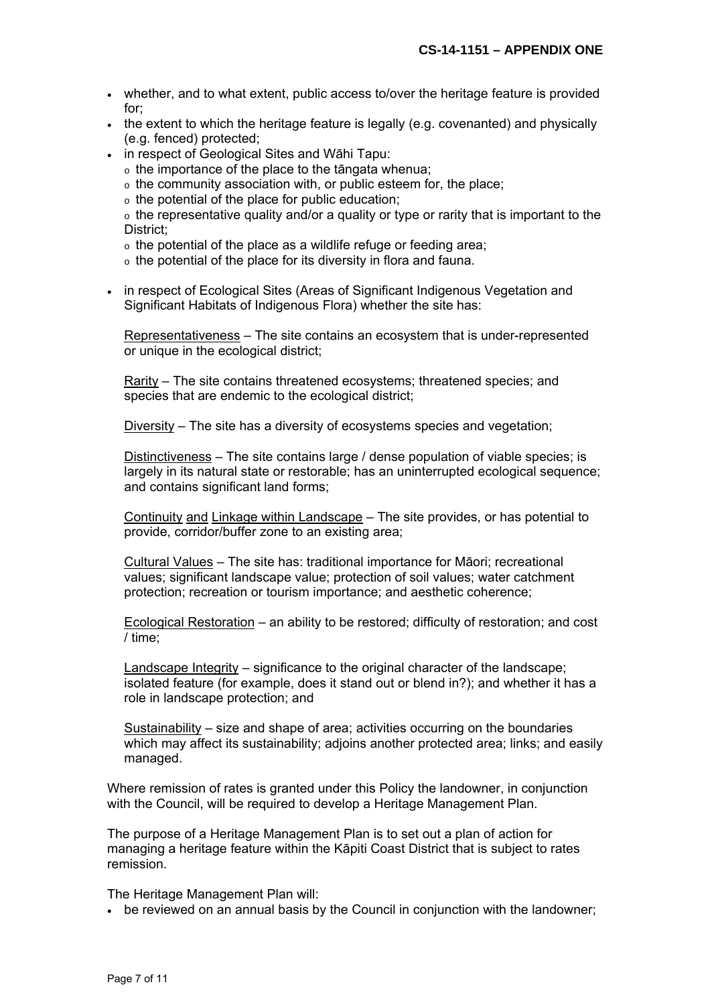- whether, and to what extent, public access to/over the heritage feature is provided for;
- the extent to which the heritage feature is legally (e.g. covenanted) and physically (e.g. fenced) protected;
- in respect of Geological Sites and Wāhi Tapu:
	- o the importance of the place to the tāngata whenua;
	- o the community association with, or public esteem for, the place;
	- o the potential of the place for public education;

 $\circ$  the representative quality and/or a quality or type or rarity that is important to the District;

- o the potential of the place as a wildlife refuge or feeding area;
- o the potential of the place for its diversity in flora and fauna.
- in respect of Ecological Sites (Areas of Significant Indigenous Vegetation and Significant Habitats of Indigenous Flora) whether the site has:

Representativeness – The site contains an ecosystem that is under-represented or unique in the ecological district;

Rarity – The site contains threatened ecosystems; threatened species; and species that are endemic to the ecological district;

Diversity – The site has a diversity of ecosystems species and vegetation;

Distinctiveness – The site contains large / dense population of viable species; is largely in its natural state or restorable; has an uninterrupted ecological sequence; and contains significant land forms;

Continuity and Linkage within Landscape – The site provides, or has potential to provide, corridor/buffer zone to an existing area;

Cultural Values – The site has: traditional importance for Māori; recreational values; significant landscape value; protection of soil values; water catchment protection; recreation or tourism importance; and aesthetic coherence;

Ecological Restoration – an ability to be restored; difficulty of restoration; and cost / time;

Landscape Integrity – significance to the original character of the landscape; isolated feature (for example, does it stand out or blend in?); and whether it has a role in landscape protection; and

Sustainability – size and shape of area; activities occurring on the boundaries which may affect its sustainability; adjoins another protected area; links; and easily managed.

Where remission of rates is granted under this Policy the landowner, in conjunction with the Council, will be required to develop a Heritage Management Plan.

The purpose of a Heritage Management Plan is to set out a plan of action for managing a heritage feature within the Kāpiti Coast District that is subject to rates remission.

The Heritage Management Plan will:

be reviewed on an annual basis by the Council in conjunction with the landowner;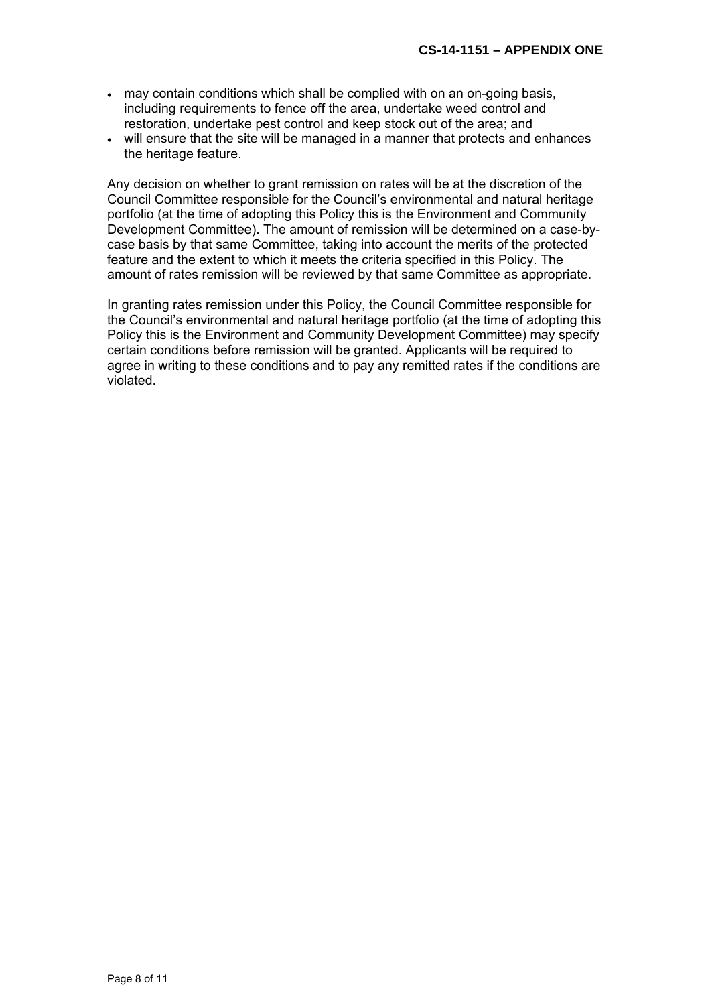- may contain conditions which shall be complied with on an on-going basis, including requirements to fence off the area, undertake weed control and restoration, undertake pest control and keep stock out of the area; and
- will ensure that the site will be managed in a manner that protects and enhances the heritage feature.

Any decision on whether to grant remission on rates will be at the discretion of the Council Committee responsible for the Council's environmental and natural heritage portfolio (at the time of adopting this Policy this is the Environment and Community Development Committee). The amount of remission will be determined on a case-bycase basis by that same Committee, taking into account the merits of the protected feature and the extent to which it meets the criteria specified in this Policy. The amount of rates remission will be reviewed by that same Committee as appropriate.

In granting rates remission under this Policy, the Council Committee responsible for the Council's environmental and natural heritage portfolio (at the time of adopting this Policy this is the Environment and Community Development Committee) may specify certain conditions before remission will be granted. Applicants will be required to agree in writing to these conditions and to pay any remitted rates if the conditions are violated.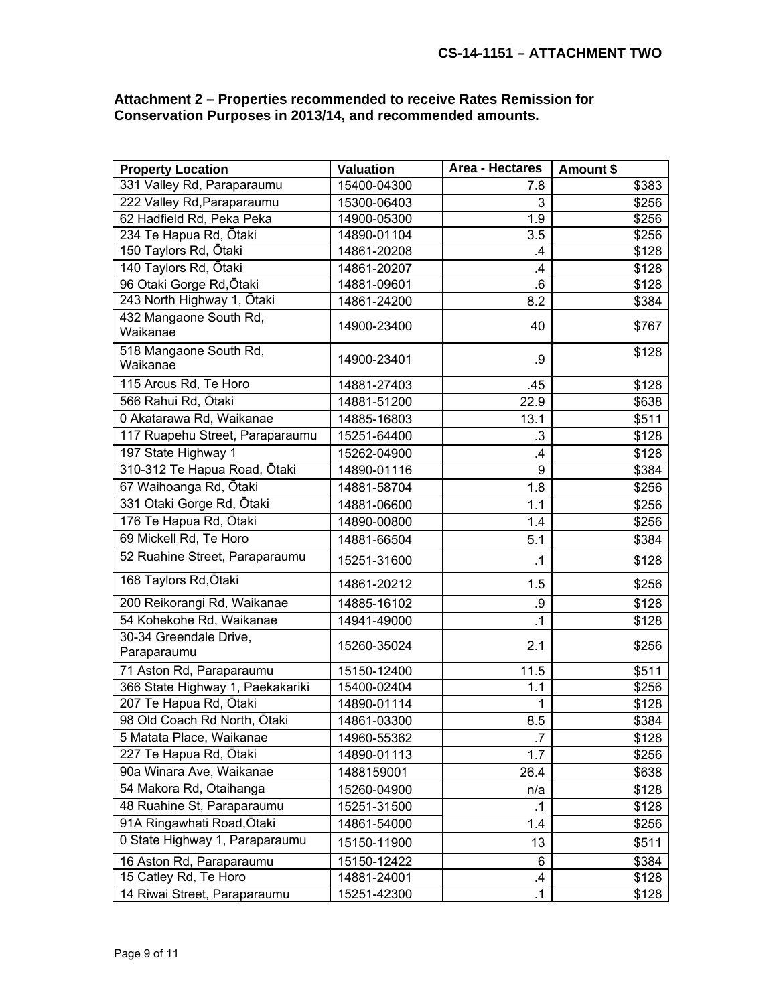#### **Attachment 2 – Properties recommended to receive Rates Remission for Conservation Purposes in 2013/14, and recommended amounts.**

| <b>Property Location</b>              | <b>Valuation</b> | Area - Hectares | Amount \$ |
|---------------------------------------|------------------|-----------------|-----------|
| 331 Valley Rd, Paraparaumu            | 15400-04300      | 7.8             | \$383     |
| 222 Valley Rd, Paraparaumu            | 15300-06403      | 3               | \$256     |
| 62 Hadfield Rd, Peka Peka             | 14900-05300      | 1.9             | \$256     |
| 234 Te Hapua Rd, Ōtaki                | 14890-01104      | 3.5             | \$256     |
| 150 Taylors Rd, Ōtaki                 | 14861-20208      | .4              | \$128     |
| 140 Taylors Rd, Ōtaki                 | 14861-20207      | $\mathbf{.4}$   | \$128     |
| 96 Otaki Gorge Rd, Ōtaki              | 14881-09601      | 6.6             | \$128     |
| 243 North Highway 1, Ōtaki            | 14861-24200      | 8.2             | \$384     |
| 432 Mangaone South Rd,<br>Waikanae    | 14900-23400      | 40              | \$767     |
| 518 Mangaone South Rd,<br>Waikanae    | 14900-23401      | .9              | \$128     |
| 115 Arcus Rd, Te Horo                 | 14881-27403      | .45             | \$128     |
| 566 Rahui Rd, Ōtaki                   | 14881-51200      | 22.9            | \$638     |
| 0 Akatarawa Rd, Waikanae              | 14885-16803      | 13.1            | \$511     |
| 117 Ruapehu Street, Paraparaumu       | 15251-64400      | $\cdot$ 3       | \$128     |
| 197 State Highway 1                   | 15262-04900      | .4              | \$128     |
| 310-312 Te Hapua Road, Ōtaki          | 14890-01116      | 9               | \$384     |
| 67 Waihoanga Rd, Ōtaki                | 14881-58704      | 1.8             | \$256     |
| 331 Otaki Gorge Rd, Ōtaki             | 14881-06600      | 1.1             | \$256     |
| 176 Te Hapua Rd, Ōtaki                | 14890-00800      | 1.4             | \$256     |
| 69 Mickell Rd, Te Horo                | 14881-66504      | 5.1             | \$384     |
| 52 Ruahine Street, Paraparaumu        | 15251-31600      | $\cdot$ 1       | \$128     |
| 168 Taylors Rd, Ōtaki                 | 14861-20212      | 1.5             | \$256     |
| 200 Reikorangi Rd, Waikanae           | 14885-16102      | .9              | \$128     |
| 54 Kohekohe Rd, Waikanae              | 14941-49000      | .1              | \$128     |
| 30-34 Greendale Drive,<br>Paraparaumu | 15260-35024      | 2.1             | \$256     |
| 71 Aston Rd, Paraparaumu              | 15150-12400      | 11.5            | \$511     |
| 366 State Highway 1, Paekakariki      | 15400-02404      | 1.1             | \$256     |
| 207 Te Hapua Rd, Ōtaki                | 14890-01114      |                 | \$128     |
| 98 Old Coach Rd North, Ōtaki          | 14861-03300      | 8.5             | \$384     |
| 5 Matata Place, Waikanae              | 14960-55362      | .7              | \$128     |
| 227 Te Hapua Rd, Ōtaki                | 14890-01113      | 1.7             | \$256     |
| 90a Winara Ave, Waikanae              | 1488159001       | 26.4            | \$638     |
| 54 Makora Rd, Otaihanga               | 15260-04900      | n/a             | \$128     |
| 48 Ruahine St, Paraparaumu            | 15251-31500      | .1              | \$128     |
| 91A Ringawhati Road, Ōtaki            | 14861-54000      | 1.4             | \$256     |
| 0 State Highway 1, Paraparaumu        | 15150-11900      | 13              | \$511     |
| 16 Aston Rd, Paraparaumu              | 15150-12422      | 6               | \$384     |
| 15 Catley Rd, Te Horo                 | 14881-24001      | $\cdot$         | \$128     |
| 14 Riwai Street, Paraparaumu          | 15251-42300      | $\cdot$ 1       | \$128     |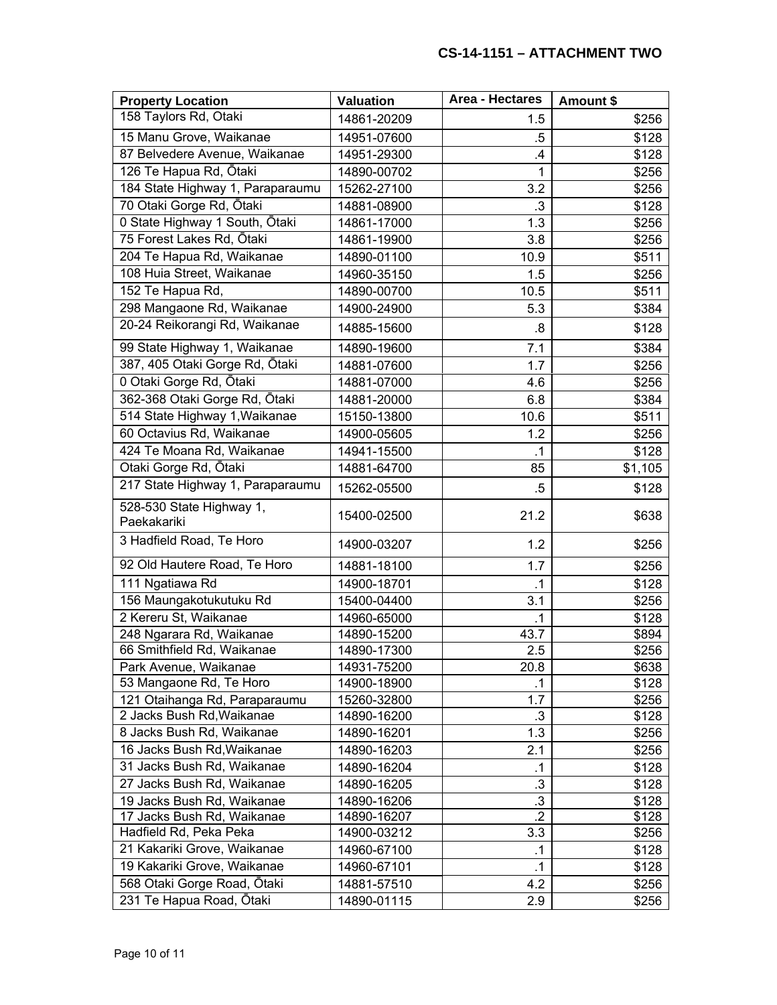| <b>Property Location</b>                | <b>Valuation</b> | Area - Hectares | Amount \$ |
|-----------------------------------------|------------------|-----------------|-----------|
| 158 Taylors Rd, Otaki                   | 14861-20209      | 1.5             | \$256     |
| 15 Manu Grove, Waikanae                 | 14951-07600      | $.5\,$          | \$128     |
| 87 Belvedere Avenue, Waikanae           | 14951-29300      | .4              | \$128     |
| 126 Te Hapua Rd, Ōtaki                  | 14890-00702      | 1               | \$256     |
| 184 State Highway 1, Paraparaumu        | 15262-27100      | 3.2             | \$256     |
| 70 Otaki Gorge Rd, Ōtaki                | 14881-08900      | $\cdot$ 3       | \$128     |
| 0 State Highway 1 South, Otaki          | 14861-17000      | 1.3             | \$256     |
| 75 Forest Lakes Rd, Ōtaki               | 14861-19900      | 3.8             | \$256     |
| 204 Te Hapua Rd, Waikanae               | 14890-01100      | 10.9            | \$511     |
| 108 Huia Street, Waikanae               | 14960-35150      | 1.5             | \$256     |
| 152 Te Hapua Rd,                        | 14890-00700      | 10.5            | \$511     |
| 298 Mangaone Rd, Waikanae               | 14900-24900      | 5.3             | \$384     |
| 20-24 Reikorangi Rd, Waikanae           | 14885-15600      | .8              | \$128     |
| 99 State Highway 1, Waikanae            | 14890-19600      | 7.1             | \$384     |
| 387, 405 Otaki Gorge Rd, Ōtaki          | 14881-07600      | 1.7             | \$256     |
| 0 Otaki Gorge Rd, Ōtaki                 | 14881-07000      | 4.6             | \$256     |
| 362-368 Otaki Gorge Rd, Ōtaki           | 14881-20000      | 6.8             | \$384     |
| 514 State Highway 1, Waikanae           | 15150-13800      | 10.6            | \$511     |
| 60 Octavius Rd, Waikanae                | 14900-05605      | 1.2             | \$256     |
| 424 Te Moana Rd, Waikanae               | 14941-15500      | $\cdot$ 1       | \$128     |
| Otaki Gorge Rd, Ōtaki                   | 14881-64700      | 85              | \$1,105   |
| 217 State Highway 1, Paraparaumu        | 15262-05500      | .5              | \$128     |
| 528-530 State Highway 1,<br>Paekakariki | 15400-02500      | 21.2            | \$638     |
| 3 Hadfield Road, Te Horo                | 14900-03207      | 1.2             | \$256     |
| 92 Old Hautere Road, Te Horo            | 14881-18100      | 1.7             | \$256     |
| 111 Ngatiawa Rd                         | 14900-18701      | $\cdot$ 1       | \$128     |
| 156 Maungakotukutuku Rd                 | 15400-04400      | 3.1             | \$256     |
| 2 Kereru St, Waikanae                   | 14960-65000      | $\cdot$ 1       | \$128     |
| 248 Ngarara Rd, Waikanae                | 14890-15200      | 43.7            | \$894     |
| 66 Smithfield Rd, Waikanae              | 14890-17300      | 2.5             | \$256     |
| Park Avenue, Waikanae                   | 14931-75200      | 20.8            | \$638     |
| 53 Mangaone Rd, Te Horo                 | 14900-18900      | .1              | \$128     |
| 121 Otaihanga Rd, Paraparaumu           | 15260-32800      | 1.7             | \$256     |
| 2 Jacks Bush Rd, Waikanae               | 14890-16200      | $\cdot 3$       | \$128     |
| 8 Jacks Bush Rd, Waikanae               | 14890-16201      | 1.3             | \$256     |
| 16 Jacks Bush Rd, Waikanae              | 14890-16203      | 2.1             | \$256     |
| 31 Jacks Bush Rd, Waikanae              | 14890-16204      | $\cdot$ 1       | \$128     |
| 27 Jacks Bush Rd, Waikanae              | 14890-16205      | $\cdot$ 3       | \$128     |
| 19 Jacks Bush Rd, Waikanae              | 14890-16206      | $\cdot$ 3       | \$128     |
| 17 Jacks Bush Rd, Waikanae              | 14890-16207      | $\cdot$         | \$128     |
| Hadfield Rd, Peka Peka                  | 14900-03212      | 3.3             | \$256     |
| 21 Kakariki Grove, Waikanae             | 14960-67100      | .1              | \$128     |
| 19 Kakariki Grove, Waikanae             | 14960-67101      | .1              | \$128     |
| 568 Otaki Gorge Road, Ōtaki             | 14881-57510      | 4.2             | \$256     |
| 231 Te Hapua Road, Ōtaki                | 14890-01115      | 2.9             | \$256     |